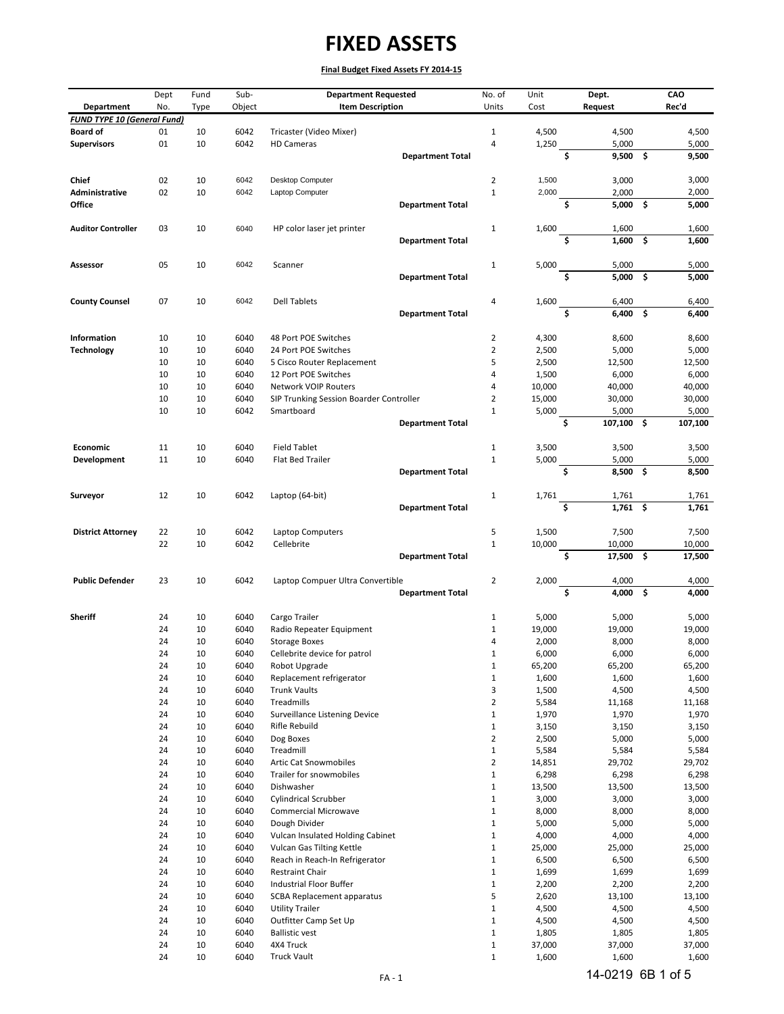|                                    | Dept     | Fund        | Sub-         | <b>Department Requested</b>                                            |                         | No. of                           | Unit             |    | Dept.            |      | CAO              |
|------------------------------------|----------|-------------|--------------|------------------------------------------------------------------------|-------------------------|----------------------------------|------------------|----|------------------|------|------------------|
| Department                         | No.      | <b>Type</b> | Object       | <b>Item Description</b>                                                |                         | Units                            | Cost             |    | <b>Request</b>   |      | Rec'd            |
| <b>FUND TYPE 10 (General Fund)</b> |          |             |              |                                                                        |                         |                                  |                  |    |                  |      |                  |
| <b>Board of</b>                    | 01       | 10          | 6042         | Tricaster (Video Mixer)                                                |                         | $\mathbf{1}$                     | 4,500            |    | 4,500            |      | 4,500            |
| <b>Supervisors</b>                 | 01       | 10          | 6042         | <b>HD Cameras</b>                                                      | <b>Department Total</b> | $\overline{\mathbf{4}}$          | 1,250            | Ś. | 5,000<br>9,500   | - \$ | 5,000<br>9,500   |
|                                    |          |             |              |                                                                        |                         |                                  |                  |    |                  |      |                  |
| Chief                              | 02       | 10          | 6042         | Desktop Computer                                                       |                         | $\overline{2}$                   | 1,500            |    | 3,000            |      | 3,000            |
| Administrative                     | 02       | 10          | 6042         | Laptop Computer                                                        |                         | $\mathbf{1}$                     | 2,000            |    | 2,000            |      | 2,000            |
| Office                             |          |             |              |                                                                        | <b>Department Total</b> |                                  |                  | Ŝ. | $5,000$ \$       |      | 5,000            |
|                                    |          |             |              |                                                                        |                         |                                  |                  |    |                  |      |                  |
| <b>Auditor Controller</b>          | 03       | 10          | 6040         | HP color laser jet printer                                             |                         | $\mathbf{1}$                     | 1,600            |    | 1,600            |      | 1,600            |
|                                    |          |             |              |                                                                        | <b>Department Total</b> |                                  |                  | Ś. | 1,600            | Ŝ.   | 1,600            |
| Assessor                           | 05       | 10          | 6042         | Scanner                                                                |                         | $\mathbf{1}$                     |                  |    | 5,000            |      | 5,000            |
|                                    |          |             |              |                                                                        | <b>Department Total</b> |                                  | 5,000            | Ś  | 5,000            | -\$  | 5,000            |
|                                    |          |             |              |                                                                        |                         |                                  |                  |    |                  |      |                  |
| <b>County Counsel</b>              | 07       | 10          | 6042         | <b>Dell Tablets</b>                                                    |                         | $\overline{4}$                   | 1,600            |    | 6,400            |      | 6,400            |
|                                    |          |             |              |                                                                        | <b>Department Total</b> |                                  |                  | Ś  | 6,400            | - \$ | 6,400            |
|                                    |          |             |              |                                                                        |                         |                                  |                  |    |                  |      |                  |
| <b>Information</b>                 | 10       | 10          | 6040         | 48 Port POE Switches                                                   |                         | $\overline{2}$                   | 4,300            |    | 8,600            |      | 8,600            |
| <b>Technology</b>                  | 10       | 10          | 6040         | 24 Port POE Switches                                                   |                         | $\overline{2}$                   | 2,500            |    | 5,000            |      | 5,000            |
|                                    | 10       | 10          | 6040         | 5 Cisco Router Replacement                                             |                         | 5                                | 2,500            |    | 12,500           |      | 12,500           |
|                                    | 10       | 10          | 6040         | 12 Port POE Switches                                                   |                         | 4                                | 1,500            |    | 6,000            |      | 6,000            |
|                                    | 10<br>10 | 10<br>10    | 6040<br>6040 | <b>Network VOIP Routers</b><br>SIP Trunking Session Boarder Controller |                         | $\overline{4}$<br>$\overline{2}$ | 10,000<br>15,000 |    | 40,000<br>30,000 |      | 40,000<br>30,000 |
|                                    | 10       | 10          | 6042         | Smartboard                                                             |                         | $\mathbf{1}$                     | 5,000            |    | 5,000            |      | 5,000            |
|                                    |          |             |              |                                                                        | <b>Department Total</b> |                                  |                  | \$ | 107,100          | \$   | 107,100          |
|                                    |          |             |              |                                                                        |                         |                                  |                  |    |                  |      |                  |
| Economic                           | 11       | 10          | 6040         | <b>Field Tablet</b>                                                    |                         | $\mathbf{1}$                     | 3,500            |    | 3,500            |      | 3,500            |
| Development                        | 11       | 10          | 6040         | Flat Bed Trailer                                                       |                         | $\mathbf{1}$                     | 5,000            |    | 5,000            |      | 5,000            |
|                                    |          |             |              |                                                                        | <b>Department Total</b> |                                  |                  | \$ | $8,500$ \$       |      | 8,500            |
|                                    |          |             |              |                                                                        |                         |                                  |                  |    |                  |      |                  |
| Surveyor                           | 12       | 10          | 6042         | Laptop (64-bit)                                                        |                         | $\mathbf{1}$                     | 1,761            |    | 1,761            |      | 1,761            |
|                                    |          |             |              |                                                                        | <b>Department Total</b> |                                  |                  | Ś  | $1,761$ \$       |      | 1,761            |
| <b>District Attorney</b>           | 22       | 10          | 6042         | Laptop Computers                                                       |                         | 5                                | 1,500            |    | 7,500            |      | 7,500            |
|                                    | 22       | 10          | 6042         | Cellebrite                                                             |                         | $\mathbf 1$                      | 10,000           |    | 10,000           |      | 10,000           |
|                                    |          |             |              |                                                                        | <b>Department Total</b> |                                  |                  | Ś. | 17,500           | - \$ | 17,500           |
|                                    |          |             |              |                                                                        |                         |                                  |                  |    |                  |      |                  |
| <b>Public Defender</b>             | 23       | 10          | 6042         | Laptop Compuer Ultra Convertible                                       |                         | $\overline{2}$                   | 2,000            |    | 4,000            |      | 4,000            |
|                                    |          |             |              |                                                                        | <b>Department Total</b> |                                  |                  | \$ | 4,000            | \$   | 4,000            |
| <b>Sheriff</b>                     | 24       | 10          | 6040         | Cargo Trailer                                                          |                         | 1                                | 5,000            |    | 5,000            |      | 5,000            |
|                                    | 24       | 10          | 6040         | Radio Repeater Equipment                                               |                         | $\mathbf{1}$                     | 19,000           |    | 19,000           |      | 19,000           |
|                                    | 24       | 10          | 6040         | <b>Storage Boxes</b>                                                   |                         | 4                                | 2,000            |    | 8,000            |      | 8,000            |
|                                    | 24       | 10          | 6040         | Cellebrite device for patrol                                           |                         | 1                                | 6,000            |    | 6,000            |      | 6,000            |
|                                    | 24       | 10          | 6040         | Robot Upgrade                                                          |                         | $\mathbf{1}$                     | 65,200           |    | 65,200           |      | 65,200           |
|                                    | 24       | 10          | 6040         | Replacement refrigerator                                               |                         | $1\,$                            | 1,600            |    | 1,600            |      | 1,600            |
|                                    | 24       | 10          | 6040         | <b>Trunk Vaults</b>                                                    |                         | 3                                | 1,500            |    | 4,500            |      | 4,500            |
|                                    | 24       | 10          | 6040         | Treadmills                                                             |                         | $\mathbf 2$                      | 5,584            |    | 11,168           |      | 11,168           |
|                                    | 24       | 10          | 6040         | Surveillance Listening Device                                          |                         | $\mathbf 1$                      | 1,970            |    | 1,970            |      | 1,970            |
|                                    | 24<br>24 | 10<br>10    | 6040<br>6040 | Rifle Rebuild<br>Dog Boxes                                             |                         | $1\,$<br>$\mathbf 2$             | 3,150<br>2,500   |    | 3,150<br>5,000   |      | 3,150<br>5,000   |
|                                    | 24       | 10          | 6040         | Treadmill                                                              |                         | $\mathbf 1$                      | 5,584            |    | 5,584            |      | 5,584            |
|                                    | 24       | 10          | 6040         | <b>Artic Cat Snowmobiles</b>                                           |                         | $\overline{2}$                   | 14,851           |    | 29,702           |      | 29,702           |
|                                    | 24       | 10          | 6040         | Trailer for snowmobiles                                                |                         | $\mathbf 1$                      | 6,298            |    | 6,298            |      | 6,298            |
|                                    | 24       | 10          | 6040         | Dishwasher                                                             |                         | $\mathbf 1$                      | 13,500           |    | 13,500           |      | 13,500           |
|                                    | 24       | 10          | 6040         | <b>Cylindrical Scrubber</b>                                            |                         | $\mathbf{1}$                     | 3,000            |    | 3,000            |      | 3,000            |
|                                    | 24       | 10          | 6040         | <b>Commercial Microwave</b>                                            |                         | $\mathbf 1$                      | 8,000            |    | 8,000            |      | 8,000            |
|                                    | 24       | 10          | 6040         | Dough Divider                                                          |                         | $\mathbf 1$                      | 5,000            |    | 5,000            |      | 5,000            |
|                                    | 24       | 10          | 6040         | Vulcan Insulated Holding Cabinet                                       |                         | $1\,$                            | 4,000            |    | 4,000            |      | 4,000            |
|                                    | 24       | 10          | 6040         | Vulcan Gas Tilting Kettle                                              |                         | $\mathbf 1$                      | 25,000           |    | 25,000           |      | 25,000           |
|                                    | 24       | 10          | 6040         | Reach in Reach-In Refrigerator<br>Restraint Chair                      |                         | $\mathbf 1$                      | 6,500            |    | 6,500            |      | 6,500            |
|                                    | 24<br>24 | 10<br>10    | 6040<br>6040 | Industrial Floor Buffer                                                |                         | $1\,$<br>$\mathbf 1$             | 1,699<br>2,200   |    | 1,699<br>2,200   |      | 1,699<br>2,200   |
|                                    | 24       | 10          | 6040         | SCBA Replacement apparatus                                             |                         | 5                                | 2,620            |    | 13,100           |      | 13,100           |
|                                    | 24       | 10          | 6040         | <b>Utility Trailer</b>                                                 |                         | $1\,$                            | 4,500            |    | 4,500            |      | 4,500            |
|                                    | 24       | 10          | 6040         | Outfitter Camp Set Up                                                  |                         | $\mathbf 1$                      | 4,500            |    | 4,500            |      | 4,500            |
|                                    | 24       | 10          | 6040         | <b>Ballistic vest</b>                                                  |                         | $\mathbf 1$                      | 1,805            |    | 1,805            |      | 1,805            |
|                                    | 24       | 10          | 6040         | 4X4 Truck                                                              |                         | $\mathbf 1$                      | 37,000           |    | 37,000           |      | 37,000           |
|                                    | 24       | 10          | 6040         | <b>Truck Vault</b>                                                     |                         | $\mathbf{1}$                     | 1,600            |    | 1,600            |      | 1,600            |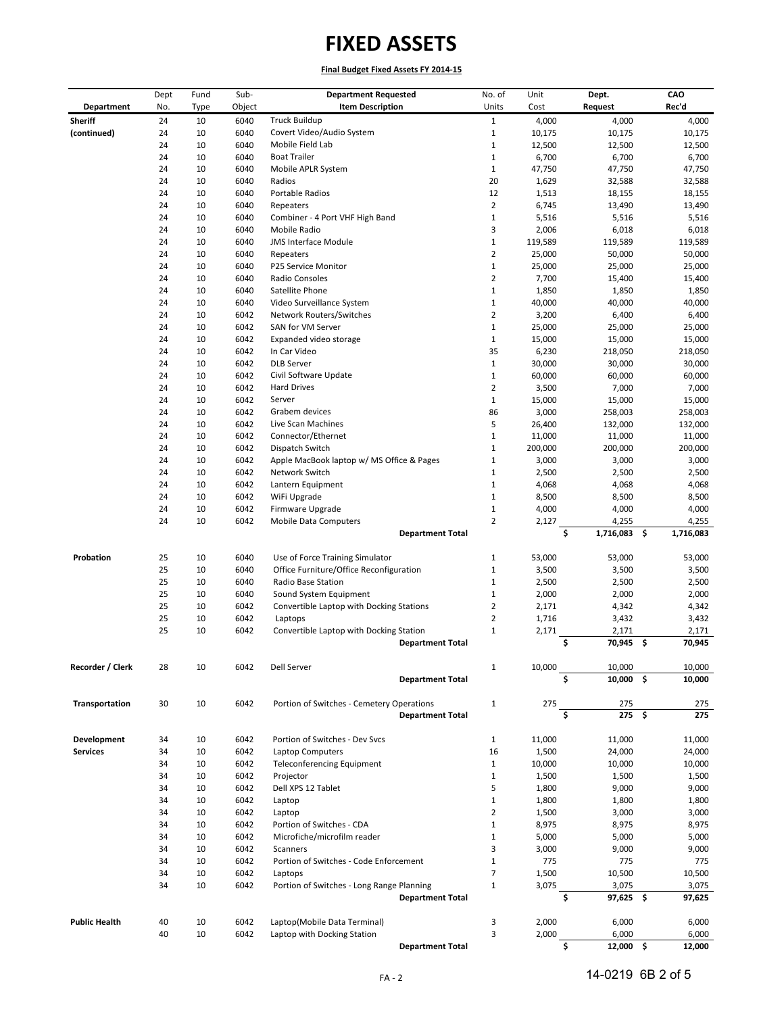**Final Budget Fixed Assets FY 2014-15**

|                      | Dept | Fund        | Sub-   | <b>Department Requested</b>               | No. of         | Unit    | Dept.             | CAO             |
|----------------------|------|-------------|--------|-------------------------------------------|----------------|---------|-------------------|-----------------|
| Department           | No.  | <b>Type</b> | Object | <b>Item Description</b>                   | Units          | Cost    | Request           | Rec'd           |
| <b>Sheriff</b>       | 24   | 10          | 6040   | <b>Truck Buildup</b>                      | $\mathbf{1}$   | 4,000   | 4,000             | 4,000           |
| (continued)          | 24   | 10          | 6040   | Covert Video/Audio System                 | $\mathbf{1}$   | 10,175  | 10,175            | 10,175          |
|                      | 24   | 10          | 6040   | Mobile Field Lab                          | $\mathbf 1$    | 12,500  | 12,500            | 12,500          |
|                      | 24   | 10          | 6040   | <b>Boat Trailer</b>                       | $\mathbf{1}$   | 6,700   | 6,700             | 6,700           |
|                      | 24   | 10          | 6040   | Mobile APLR System                        | $\mathbf{1}$   | 47,750  | 47,750            | 47,750          |
|                      | 24   | 10          | 6040   | Radios                                    | 20             | 1,629   | 32,588            | 32,588          |
|                      | 24   | 10          | 6040   | Portable Radios                           | 12             | 1,513   | 18,155            | 18,155          |
|                      | 24   | 10          | 6040   | Repeaters                                 | $\overline{2}$ | 6,745   | 13,490            | 13,490          |
|                      | 24   | 10          | 6040   | Combiner - 4 Port VHF High Band           | $\mathbf 1$    | 5,516   | 5,516             | 5,516           |
|                      | 24   | 10          | 6040   | Mobile Radio                              | 3              | 2,006   | 6,018             | 6,018           |
|                      | 24   | 10          | 6040   | JMS Interface Module                      | $\mathbf{1}$   | 119,589 | 119,589           | 119,589         |
|                      | 24   | 10          | 6040   | Repeaters                                 | $\overline{2}$ | 25,000  | 50,000            | 50,000          |
|                      | 24   | 10          | 6040   | P25 Service Monitor                       | $1\,$          | 25,000  | 25,000            | 25,000          |
|                      | 24   | 10          | 6040   | Radio Consoles                            | $\overline{2}$ | 7,700   | 15,400            | 15,400          |
|                      | 24   | 10          | 6040   | Satellite Phone                           | $\mathbf 1$    | 1,850   | 1,850             | 1,850           |
|                      | 24   | 10          | 6040   | Video Surveillance System                 | $\mathbf 1$    | 40,000  | 40,000            | 40,000          |
|                      | 24   | 10          | 6042   | Network Routers/Switches                  | $\overline{2}$ | 3,200   | 6,400             | 6,400           |
|                      | 24   | 10          | 6042   | SAN for VM Server                         | $\mathbf{1}$   | 25,000  | 25,000            | 25,000          |
|                      | 24   | 10          | 6042   | Expanded video storage                    | $\mathbf{1}$   | 15,000  | 15,000            | 15,000          |
|                      | 24   | 10          | 6042   | In Car Video                              | 35             | 6,230   | 218,050           | 218,050         |
|                      | 24   | 10          | 6042   | <b>DLB Server</b>                         | $1\,$          | 30,000  | 30,000            | 30,000          |
|                      | 24   | 10          | 6042   | Civil Software Update                     | $\mathbf 1$    | 60,000  | 60,000            | 60,000          |
|                      | 24   | 10          | 6042   | <b>Hard Drives</b>                        | $\overline{2}$ | 3,500   | 7,000             | 7,000           |
|                      | 24   | 10          | 6042   | Server                                    | $\mathbf{1}$   | 15,000  | 15,000            | 15,000          |
|                      | 24   | 10          | 6042   | Grabem devices                            | 86             | 3,000   | 258,003           | 258,003         |
|                      | 24   | 10          | 6042   | Live Scan Machines                        | 5              | 26,400  | 132,000           | 132,000         |
|                      | 24   | 10          | 6042   | Connector/Ethernet                        | $1\,$          | 11,000  | 11,000            | 11,000          |
|                      | 24   | 10          | 6042   | Dispatch Switch                           | $1\,$          | 200,000 | 200,000           | 200,000         |
|                      | 24   | 10          | 6042   | Apple MacBook laptop w/ MS Office & Pages | $1\,$          | 3,000   | 3,000             | 3,000           |
|                      | 24   | 10          | 6042   | Network Switch                            | $\mathbf{1}$   | 2,500   | 2,500             | 2,500           |
|                      | 24   | 10          | 6042   | Lantern Equipment                         | $1\,$          | 4,068   | 4,068             | 4,068           |
|                      | 24   | 10          | 6042   | WiFi Upgrade                              | $\mathbf{1}$   | 8,500   | 8,500             | 8,500           |
|                      | 24   | 10          | 6042   | Firmware Upgrade                          | $\mathbf{1}$   | 4,000   | 4,000             | 4,000           |
|                      | 24   | 10          | 6042   | <b>Mobile Data Computers</b>              | $\overline{2}$ | 2,127   | 4,255             | 4,255           |
|                      |      |             |        | <b>Department Total</b>                   |                |         | \$<br>1,716,083   | \$<br>1,716,083 |
|                      |      |             |        |                                           |                |         |                   |                 |
| Probation            | 25   | 10          | 6040   | Use of Force Training Simulator           | $\mathbf 1$    | 53,000  | 53,000            | 53,000          |
|                      | 25   | 10          | 6040   | Office Furniture/Office Reconfiguration   | $\mathbf{1}$   | 3,500   | 3,500             | 3,500           |
|                      | 25   | 10          | 6040   | Radio Base Station                        | $\mathbf{1}$   | 2,500   | 2,500             | 2,500           |
|                      | 25   | 10          | 6040   | Sound System Equipment                    | $\mathbf 1$    | 2,000   | 2,000             | 2,000           |
|                      | 25   | 10          | 6042   | Convertible Laptop with Docking Stations  | 2              | 2,171   | 4,342             | 4,342           |
|                      | 25   | 10          | 6042   | Laptops                                   | $\overline{2}$ | 1,716   | 3,432             | 3,432           |
|                      | 25   | 10          | 6042   | Convertible Laptop with Docking Station   | $1\,$          | 2,171   | 2,171             | 2,171           |
|                      |      |             |        | <b>Department Total</b>                   |                |         | \$<br>70,945 \$   | 70,945          |
|                      |      |             |        |                                           |                |         |                   |                 |
| Recorder / Clerk     | 28   | $10\,$      | 6042   | Dell Server                               | $\mathbf{1}$   | 10,000  | 10,000            | 10,000          |
|                      |      |             |        | <b>Department Total</b>                   |                |         | Ś<br>$10,000$ \$  | 10,000          |
|                      |      |             |        |                                           |                |         |                   |                 |
| Transportation       | 30   | 10          | 6042   | Portion of Switches - Cemetery Operations | $\mathbf{1}$   | 275     | 275               | 275             |
|                      |      |             |        | <b>Department Total</b>                   |                |         | Ś<br>$275$ \$     | 275             |
|                      |      |             |        |                                           |                |         |                   |                 |
| Development          | 34   | 10          | 6042   | Portion of Switches - Dev Svcs            | $\mathbf{1}$   | 11,000  | 11,000            | 11,000          |
| <b>Services</b>      | 34   | 10          | 6042   | Laptop Computers                          | 16             | 1,500   | 24,000            | 24,000          |
|                      | 34   | 10          | 6042   | <b>Teleconferencing Equipment</b>         | $\mathbf{1}$   | 10,000  | 10,000            | 10,000          |
|                      | 34   | 10          | 6042   | Projector                                 | $\mathbf{1}$   | 1,500   | 1,500             | 1,500           |
|                      | 34   | 10          | 6042   | Dell XPS 12 Tablet                        | 5              | 1,800   | 9,000             | 9,000           |
|                      | 34   | 10          | 6042   | Laptop                                    | $\mathbf{1}$   | 1,800   | 1,800             | 1,800           |
|                      | 34   | 10          | 6042   | Laptop                                    | 2              | 1,500   | 3,000             | 3,000           |
|                      | 34   | 10          | 6042   | Portion of Switches - CDA                 | $\mathbf 1$    | 8,975   | 8,975             | 8,975           |
|                      | 34   | 10          | 6042   | Microfiche/microfilm reader               | $\mathbf{1}$   | 5,000   | 5,000             | 5,000           |
|                      | 34   | 10          | 6042   | <b>Scanners</b>                           | 3              | 3,000   | 9,000             | 9,000           |
|                      | 34   | 10          | 6042   | Portion of Switches - Code Enforcement    | $\mathbf 1$    | 775     | 775               | 775             |
|                      | 34   | 10          | 6042   | Laptops                                   | $\overline{7}$ | 1,500   | 10,500            | 10,500          |
|                      | 34   | 10          | 6042   | Portion of Switches - Long Range Planning | $\mathbf{1}$   | 3,075   | 3,075             | 3,075           |
|                      |      |             |        | <b>Department Total</b>                   |                |         | \$<br>97,625 \$   | 97,625          |
|                      |      |             |        |                                           |                |         |                   |                 |
| <b>Public Health</b> | 40   | 10          | 6042   | Laptop(Mobile Data Terminal)              | 3              | 2,000   | 6,000             | 6,000           |
|                      | 40   | 10          | 6042   | Laptop with Docking Station               | 3              | 2,000   | 6,000             | 6,000           |
|                      |      |             |        | <b>Department Total</b>                   |                |         | \$<br>$12,000$ \$ | 12,000          |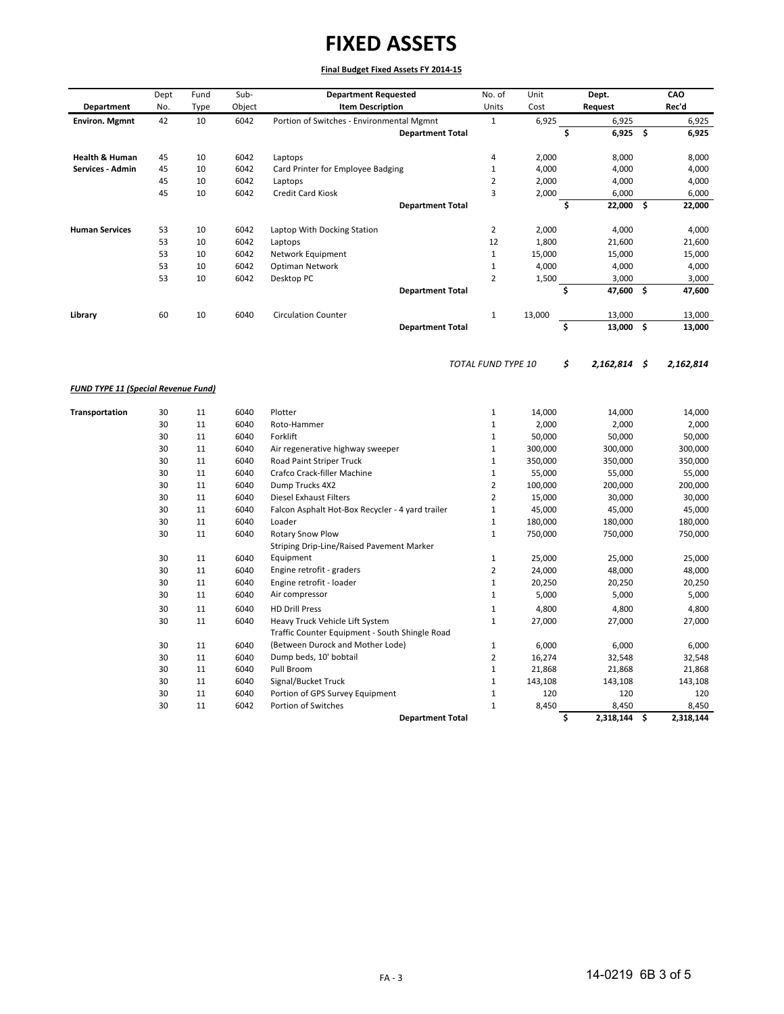| Department                                 | Dept<br>No. | Fund<br><b>Type</b> | Sub-<br>Object | <b>Department Requested</b><br><b>Item Description</b> | No. of<br>Units       | Unit<br>Cost    | Dept.<br>Request     |     | CAO<br>Rec'd    |
|--------------------------------------------|-------------|---------------------|----------------|--------------------------------------------------------|-----------------------|-----------------|----------------------|-----|-----------------|
| <b>Environ. Mgmnt</b>                      | 42          | 10                  | 6042           | Portion of Switches - Environmental Mgmnt              | $\mathbf{1}$          | 6,925           | 6,925                |     | 6,925           |
|                                            |             |                     |                | <b>Department Total</b>                                |                       |                 | \$<br>6,925          | \$  | 6,925           |
| <b>Health &amp; Human</b>                  | 45          | 10                  | 6042           | Laptops                                                | 4                     | 2,000           | 8,000                |     | 8,000           |
| Services - Admin                           | 45          | 10                  | 6042           | Card Printer for Employee Badging                      | $\mathbf{1}$          | 4,000           | 4,000                |     | 4,000           |
|                                            | 45          | 10                  | 6042           | Laptops                                                | $\overline{2}$        | 2,000           | 4,000                |     | 4,000           |
|                                            | 45          | 10                  | 6042           | Credit Card Kiosk                                      | $\overline{3}$        | 2,000           | 6,000                |     | 6,000           |
|                                            |             |                     |                | <b>Department Total</b>                                |                       |                 | \$<br>22,000         | \$. | 22,000          |
| <b>Human Services</b>                      | 53          | 10                  | 6042           | Laptop With Docking Station                            | $\overline{2}$        | 2,000           | 4,000                |     | 4,000           |
|                                            | 53          | 10                  | 6042           | Laptops                                                | 12                    | 1,800           | 21,600               |     | 21,600          |
|                                            | 53          | 10                  | 6042           | Network Equipment                                      | $\mathbf{1}$          | 15,000          | 15,000               |     | 15,000          |
|                                            | 53          | 10                  | 6042           | Optiman Network                                        | $\mathbf 1$           | 4,000           | 4,000                |     | 4,000           |
|                                            | 53          | 10                  | 6042           | Desktop PC                                             | $\overline{2}$        | 1,500           | 3,000                |     | 3,000           |
|                                            |             |                     |                | <b>Department Total</b>                                |                       |                 | \$<br>47,600         | -\$ | 47,600          |
| Library                                    | 60          | 10                  | 6040           | <b>Circulation Counter</b>                             | $\mathbf{1}$          | 13,000          | 13,000               |     | 13,000          |
|                                            |             |                     |                | <b>Department Total</b>                                |                       |                 | \$<br>13,000 \$      |     | 13,000          |
|                                            |             |                     |                |                                                        | TOTAL FUND TYPE 10    |                 | \$<br>$2,162,814$ \$ |     | 2,162,814       |
| <b>FUND TYPE 11 (Special Revenue Fund)</b> |             |                     |                |                                                        |                       |                 |                      |     |                 |
|                                            |             | 11                  | 6040           | Plotter                                                |                       |                 |                      |     |                 |
| Transportation                             | 30<br>30    | 11                  | 6040           | Roto-Hammer                                            | $1\,$<br>$\mathbf{1}$ | 14,000<br>2,000 | 14,000<br>2,000      |     | 14,000<br>2,000 |
|                                            | 30          | 11                  | 6040           | Forklift                                               | $\mathbf{1}$          | 50,000          | 50,000               |     | 50,000          |
|                                            | 30          | 11                  | 6040           | Air regenerative highway sweeper                       | $\mathbf 1$           | 300,000         | 300,000              |     | 300,000         |
|                                            | 30          | 11                  | 6040           | Road Paint Striper Truck                               | $\mathbf{1}$          | 350,000         | 350,000              |     | 350,000         |
|                                            | 30          | 11                  | 6040           | Crafco Crack-filler Machine                            | $\mathbf{1}$          | 55,000          | 55,000               |     | 55,000          |
|                                            | 30          | 11                  | 6040           | Dump Trucks 4X2                                        | $\overline{2}$        | 100,000         | 200,000              |     | 200,000         |
|                                            | 30          | 11                  | 6040           | <b>Diesel Exhaust Filters</b>                          | $\overline{2}$        | 15,000          | 30,000               |     | 30,000          |
|                                            | 30          | 11                  | 6040           | Falcon Asphalt Hot-Box Recycler - 4 yard trailer       | $\mathbf{1}$          | 45,000          | 45,000               |     | 45,000          |
|                                            | 30          | 11                  | 6040           | Loader                                                 | $1\,$                 | 180,000         | 180,000              |     | 180,000         |
|                                            | 30          | 11                  | 6040           | Rotary Snow Plow                                       | $\mathbf{1}$          | 750,000         | 750,000              |     | 750,000         |
|                                            |             |                     |                | Striping Drip-Line/Raised Pavement Marker              |                       |                 |                      |     |                 |
|                                            | 30          | 11                  | 6040           | Equipment                                              | $\mathbf 1$           | 25,000          | 25,000               |     | 25,000          |
|                                            | 30          | 11                  | 6040           | Engine retrofit - graders                              | $\overline{2}$        | 24,000          | 48,000               |     | 48,000          |
|                                            | 30          | 11                  | 6040           | Engine retrofit - loader                               | $\mathbf 1$           | 20,250          | 20,250               |     | 20,250          |
|                                            | 30          | 11                  | 6040           | Air compressor                                         | $\mathbf{1}$          | 5,000           | 5,000                |     | 5,000           |
|                                            | 30          | 11                  | 6040           | <b>HD Drill Press</b>                                  | $\mathbf 1$           | 4,800           | 4,800                |     | 4,800           |
|                                            | 30          | 11                  | 6040           | Heavy Truck Vehicle Lift System                        | $\mathbf{1}$          | 27,000          | 27,000               |     | 27,000          |
|                                            |             |                     |                | Traffic Counter Equipment - South Shingle Road         |                       |                 |                      |     |                 |
|                                            | 30          | 11                  | 6040           | (Between Durock and Mother Lode)                       | $\mathbf 1$           | 6,000           | 6,000                |     | 6,000           |
|                                            | 30          | 11                  | 6040           | Dump beds, 10' bobtail                                 | $\overline{2}$        | 16,274          | 32,548               |     | 32,548          |
|                                            | 30          | 11                  | 6040           | Pull Broom                                             | $\mathbf 1$           | 21,868          | 21,868               |     | 21,868          |
|                                            | 30          | 11                  | 6040           | Signal/Bucket Truck                                    | $\mathbf{1}$          | 143,108         | 143,108              |     | 143,108         |
|                                            | 30          | 11                  | 6040           | Portion of GPS Survey Equipment                        | $\mathbf{1}$          | 120             | 120                  |     | 120             |
|                                            | 30          | 11                  | 6042           | Portion of Switches                                    | $\mathbf{1}$          | 8,450           | 8,450                |     | 8,450           |
|                                            |             |                     |                | <b>Department Total</b>                                |                       |                 | \$<br>2,318,144 \$   |     | 2,318,144       |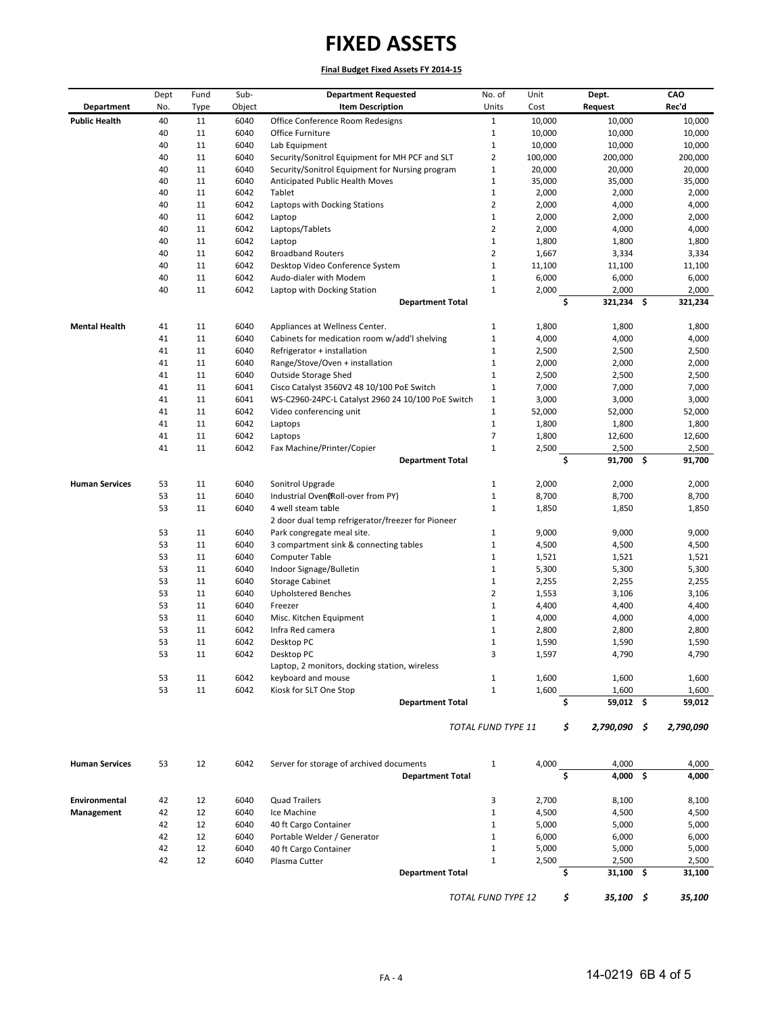| Department            | Dept<br>No. | Fund<br><b>Type</b> | Sub-<br>Object | <b>Department Requested</b><br><b>Item Description</b>      | No. of<br>Units              | Unit<br>Cost     |    | Dept.<br><b>Request</b> | CAO<br>Rec'd     |
|-----------------------|-------------|---------------------|----------------|-------------------------------------------------------------|------------------------------|------------------|----|-------------------------|------------------|
|                       |             |                     |                |                                                             |                              |                  |    |                         |                  |
| <b>Public Health</b>  | 40<br>40    | 11<br>11            | 6040           | Office Conference Room Redesigns                            | $\mathbf{1}$<br>$\mathbf{1}$ | 10,000<br>10,000 |    | 10,000                  | 10,000<br>10,000 |
|                       | 40          | 11                  | 6040<br>6040   | Office Furniture<br>Lab Equipment                           | $\mathbf{1}$                 | 10,000           |    | 10,000<br>10,000        | 10,000           |
|                       | 40          | 11                  | 6040           | Security/Sonitrol Equipment for MH PCF and SLT              | $\overline{2}$               | 100,000          |    | 200,000                 | 200,000          |
|                       | 40          | 11                  | 6040           | Security/Sonitrol Equipment for Nursing program             | $\mathbf{1}$                 | 20,000           |    | 20,000                  | 20,000           |
|                       | 40          | 11                  | 6040           | Anticipated Public Health Moves                             | $\mathbf{1}$                 | 35,000           |    | 35,000                  | 35,000           |
|                       | 40          | 11                  | 6042           | Tablet                                                      | $\mathbf{1}$                 | 2,000            |    | 2,000                   | 2,000            |
|                       | 40          | 11                  | 6042           | Laptops with Docking Stations                               | $\overline{2}$               | 2,000            |    | 4,000                   | 4,000            |
|                       | 40          | 11                  | 6042           | Laptop                                                      | $\mathbf 1$                  | 2,000            |    | 2,000                   | 2,000            |
|                       | 40          | 11                  | 6042           | Laptops/Tablets                                             | $\mathbf 2$                  | 2,000            |    | 4,000                   | 4,000            |
|                       | 40          | 11                  | 6042           | Laptop                                                      | $\mathbf{1}$                 | 1,800            |    | 1,800                   | 1,800            |
|                       | 40          | 11                  | 6042           | <b>Broadband Routers</b>                                    | $\overline{2}$               | 1,667            |    | 3,334                   | 3,334            |
|                       | 40          | 11                  | 6042           | Desktop Video Conference System                             | $\mathbf{1}$                 | 11,100           |    | 11,100                  | 11,100           |
|                       | 40          | 11                  | 6042           | Audo-dialer with Modem                                      | $\mathbf{1}$                 | 6,000            |    | 6,000                   | 6,000            |
|                       | 40          | 11                  | 6042           | Laptop with Docking Station                                 | $\mathbf{1}$                 | 2,000            |    | 2,000                   | 2,000            |
|                       |             |                     |                | <b>Department Total</b>                                     |                              |                  | \$ | 321,234 \$              | 321,234          |
| <b>Mental Health</b>  | 41          | 11                  | 6040           | Appliances at Wellness Center.                              | $\mathbf{1}$                 | 1,800            |    | 1,800                   | 1,800            |
|                       | 41          | 11                  | 6040           | Cabinets for medication room w/add'l shelving               | $\mathbf{1}$                 | 4,000            |    | 4,000                   | 4,000            |
|                       | 41          | 11                  | 6040           | Refrigerator + installation                                 | $\mathbf{1}$                 | 2,500            |    | 2,500                   | 2,500            |
|                       | 41          | 11                  | 6040           | Range/Stove/Oven + installation                             | $\mathbf{1}$                 | 2,000            |    | 2,000                   | 2,000            |
|                       | 41          | 11                  | 6040           | <b>Outside Storage Shed</b>                                 | $\mathbf{1}$                 | 2,500            |    | 2,500                   | 2,500            |
|                       | 41          | 11                  | 6041           | Cisco Catalyst 3560V2 48 10/100 PoE Switch                  | $\mathbf{1}$                 | 7,000            |    | 7,000                   | 7,000            |
|                       | 41          | 11                  | 6041           | WS-C2960-24PC-L Catalyst 2960 24 10/100 PoE Switch          | $\mathbf{1}$                 | 3,000            |    | 3,000                   | 3,000            |
|                       | 41          | 11                  | 6042           | Video conferencing unit                                     | $\mathbf{1}$                 | 52,000           |    | 52,000                  | 52,000           |
|                       | 41          | 11                  | 6042           | Laptops                                                     | $\mathbf{1}$                 | 1,800            |    | 1,800                   | 1,800            |
|                       | 41          | 11                  | 6042           | Laptops                                                     | $\overline{7}$               | 1,800            |    | 12,600                  | 12,600           |
|                       | 41          | 11                  | 6042           | Fax Machine/Printer/Copier<br><b>Department Total</b>       | $\mathbf 1$                  | 2,500            | \$ | 2,500<br>91,700 \$      | 2,500<br>91,700  |
|                       |             |                     |                |                                                             |                              |                  |    |                         |                  |
| <b>Human Services</b> | 53          | 11                  | 6040           | Sonitrol Upgrade                                            | $\mathbf{1}$                 | 2,000            |    | 2,000                   | 2,000            |
|                       | 53<br>53    | 11<br>11            | 6040<br>6040   | Industrial Oven@Roll-over from PY)<br>4 well steam table    | $\mathbf{1}$<br>$\mathbf{1}$ | 8,700            |    | 8,700                   | 8,700            |
|                       |             |                     |                | 2 door dual temp refrigerator/freezer for Pioneer           |                              | 1,850            |    | 1,850                   | 1,850            |
|                       | 53          | 11                  | 6040           | Park congregate meal site.                                  | $\mathbf{1}$                 | 9,000            |    | 9,000                   | 9,000            |
|                       | 53          | 11                  | 6040           | 3 compartment sink & connecting tables                      | $\mathbf{1}$                 | 4,500            |    | 4,500                   | 4,500            |
|                       | 53          | 11                  | 6040           | <b>Computer Table</b>                                       | $1\,$                        | 1,521            |    | 1,521                   | 1,521            |
|                       | 53          | 11                  | 6040           | Indoor Signage/Bulletin                                     | $\mathbf{1}$                 | 5,300            |    | 5,300                   | 5,300            |
|                       | 53          | 11                  | 6040           | <b>Storage Cabinet</b>                                      | $\mathbf{1}$                 | 2,255            |    | 2,255                   | 2,255            |
|                       | 53          | 11                  | 6040           | <b>Upholstered Benches</b>                                  | $\overline{2}$               | 1,553            |    | 3,106                   | 3,106            |
|                       | 53          | 11                  | 6040           | Freezer                                                     | $\mathbf{1}$                 | 4,400            |    | 4,400                   | 4,400            |
|                       | 53          | 11                  | 6040           | Misc. Kitchen Equipment                                     | $1\,$                        | 4,000            |    | 4,000                   | 4,000            |
|                       | 53          | 11                  | 6042           | Infra Red camera                                            | $\mathbf{1}$                 | 2,800            |    | 2,800                   | 2,800            |
|                       | 53          | 11                  | 6042           | Desktop PC                                                  | $\mathbf{1}$                 | 1,590            |    | 1,590                   | 1,590            |
|                       | 53          | 11                  | 6042           | Desktop PC<br>Laptop, 2 monitors, docking station, wireless | 3                            | 1,597            |    | 4,790                   | 4,790            |
|                       | 53          | 11                  | 6042           | keyboard and mouse                                          | $\mathbf{1}$                 | 1,600            |    | 1,600                   | 1,600            |
|                       | 53          | 11                  | 6042           | Kiosk for SLT One Stop                                      | $\mathbf{1}$                 | 1,600            |    | 1,600                   | 1,600            |
|                       |             |                     |                | <b>Department Total</b>                                     |                              |                  | \$ | 59,012 \$               | 59,012           |
|                       |             |                     |                |                                                             | TOTAL FUND TYPE 11           |                  | \$ | 2,790,090 \$            | 2,790,090        |
| <b>Human Services</b> | 53          | 12                  | 6042           | Server for storage of archived documents                    | $\mathbf{1}$                 | 4,000            |    | 4,000                   | 4,000            |
|                       |             |                     |                | <b>Department Total</b>                                     |                              |                  | Ś. | $4,000$ \$              | 4,000            |
| Environmental         | 42          | 12                  | 6040           | <b>Quad Trailers</b>                                        | 3                            | 2,700            |    | 8,100                   | 8,100            |
| Management            | 42          | 12                  | 6040           | Ice Machine                                                 | $\mathbf{1}$                 | 4,500            |    | 4,500                   | 4,500            |
|                       | 42          | 12                  | 6040           | 40 ft Cargo Container                                       | $\mathbf{1}$                 | 5,000            |    | 5,000                   | 5,000            |
|                       | 42          | 12                  | 6040           | Portable Welder / Generator                                 | $\mathbf{1}$                 | 6,000            |    | 6,000                   | 6,000            |
|                       | 42          | 12                  | 6040           | 40 ft Cargo Container                                       | $\mathbf{1}$                 | 5,000            |    | 5,000                   | 5,000            |
|                       | 42          | 12                  | 6040           | Plasma Cutter                                               | $\mathbf{1}$                 | 2,500            |    | 2,500                   | 2,500            |
|                       |             |                     |                | <b>Department Total</b>                                     |                              |                  | \$ | $31,100$ \$             | 31,100           |
|                       |             |                     |                |                                                             | TOTAL FUND TYPE 12           |                  | \$ | $35,100$ \$             | 35,100           |